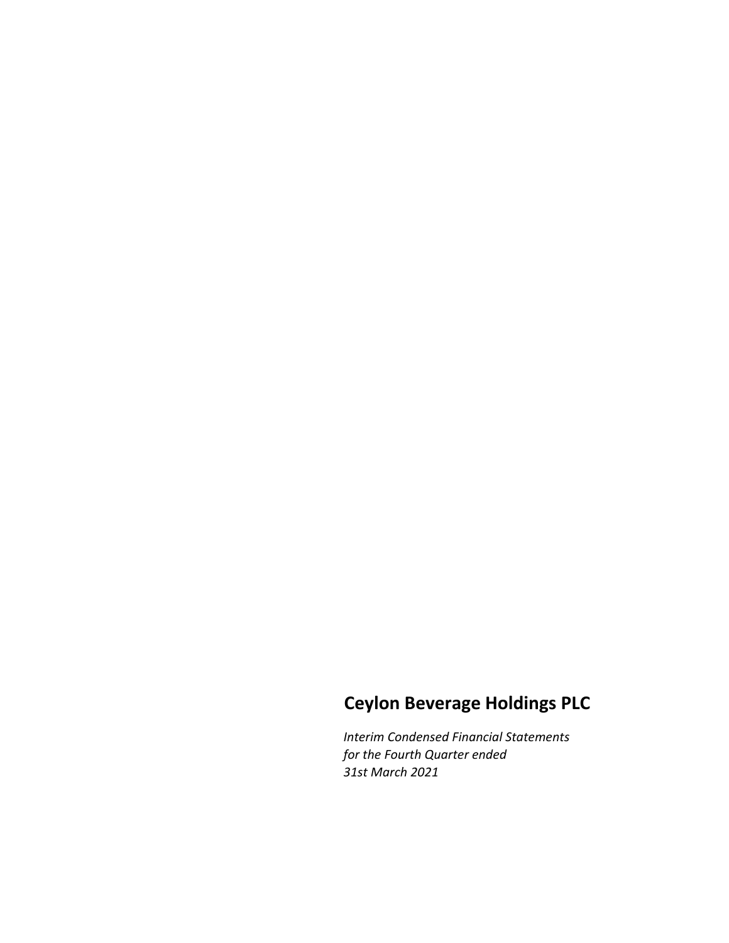# Ceylon Beverage Holdings PLC

Interim Condensed Financial Statements for the Fourth Quarter ended 31st March 2021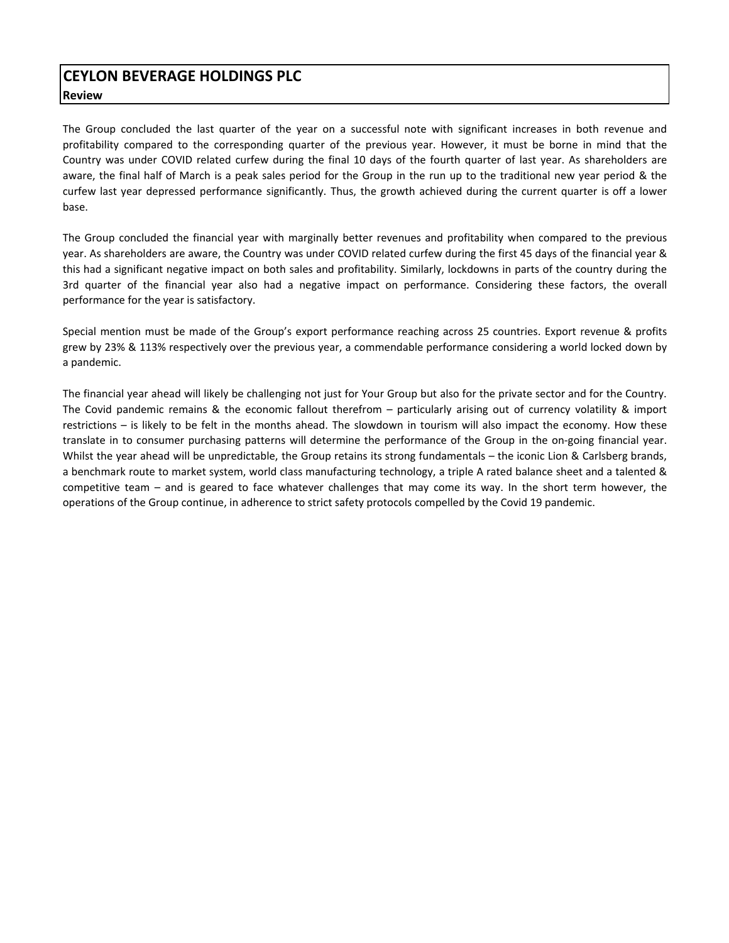The Group concluded the last quarter of the year on a successful note with significant increases in both revenue and profitability compared to the corresponding quarter of the previous year. However, it must be borne in mind that the Country was under COVID related curfew during the final 10 days of the fourth quarter of last year. As shareholders are aware, the final half of March is a peak sales period for the Group in the run up to the traditional new year period & the curfew last year depressed performance significantly. Thus, the growth achieved during the current quarter is off a lower base.

The Group concluded the financial year with marginally better revenues and profitability when compared to the previous year. As shareholders are aware, the Country was under COVID related curfew during the first 45 days of the financial year & this had a significant negative impact on both sales and profitability. Similarly, lockdowns in parts of the country during the 3rd quarter of the financial year also had a negative impact on performance. Considering these factors, the overall performance for the year is satisfactory.

Special mention must be made of the Group's export performance reaching across 25 countries. Export revenue & profits grew by 23% & 113% respectively over the previous year, a commendable performance considering a world locked down by a pandemic.

The financial year ahead will likely be challenging not just for Your Group but also for the private sector and for the Country. The Covid pandemic remains & the economic fallout therefrom – particularly arising out of currency volatility & import restrictions – is likely to be felt in the months ahead. The slowdown in tourism will also impact the economy. How these translate in to consumer purchasing patterns will determine the performance of the Group in the on-going financial year. Whilst the year ahead will be unpredictable, the Group retains its strong fundamentals – the iconic Lion & Carlsberg brands, a benchmark route to market system, world class manufacturing technology, a triple A rated balance sheet and a talented & competitive team – and is geared to face whatever challenges that may come its way. In the short term however, the operations of the Group continue, in adherence to strict safety protocols compelled by the Covid 19 pandemic.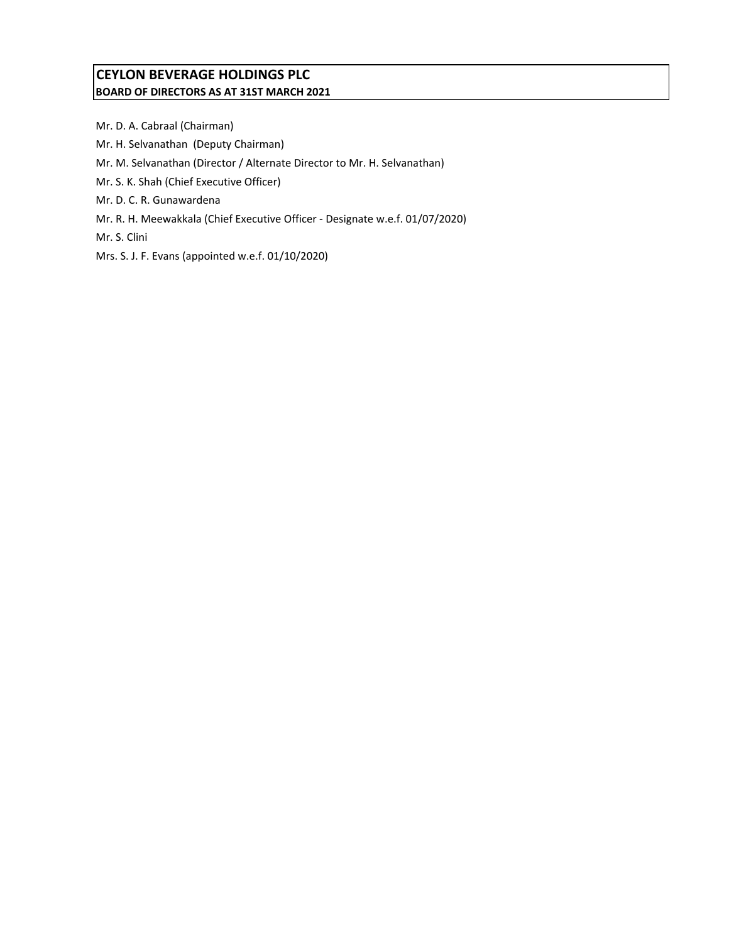# CEYLON BEVERAGE HOLDINGS PLC BOARD OF DIRECTORS AS AT 31ST MARCH 2021

Mr. D. A. Cabraal (Chairman) Mr. H. Selvanathan (Deputy Chairman) Mr. M. Selvanathan (Director / Alternate Director to Mr. H. Selvanathan) Mr. S. K. Shah (Chief Executive Officer) Mr. D. C. R. Gunawardena Mr. R. H. Meewakkala (Chief Executive Officer - Designate w.e.f. 01/07/2020) Mr. S. Clini Mrs. S. J. F. Evans (appointed w.e.f. 01/10/2020)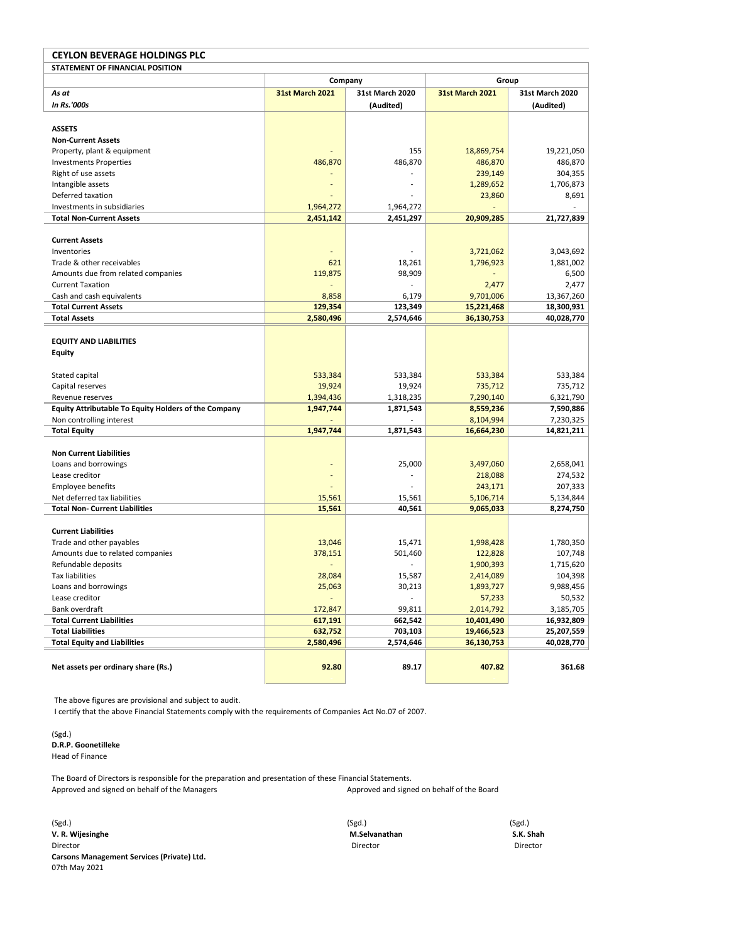| <b>CEYLON BEVERAGE HOLDINGS PLC</b>                  |                        |                        |                        |                        |  |  |  |
|------------------------------------------------------|------------------------|------------------------|------------------------|------------------------|--|--|--|
| STATEMENT OF FINANCIAL POSITION                      |                        |                        |                        |                        |  |  |  |
|                                                      | Company                |                        | Group                  |                        |  |  |  |
| As at                                                | <b>31st March 2021</b> | <b>31st March 2020</b> | <b>31st March 2021</b> | <b>31st March 2020</b> |  |  |  |
| In Rs.'000s                                          |                        | (Audited)              |                        | (Audited)              |  |  |  |
|                                                      |                        |                        |                        |                        |  |  |  |
| <b>ASSETS</b>                                        |                        |                        |                        |                        |  |  |  |
| <b>Non-Current Assets</b>                            |                        |                        |                        |                        |  |  |  |
| Property, plant & equipment                          |                        | 155                    | 18,869,754             | 19,221,050             |  |  |  |
| <b>Investments Properties</b>                        | 486,870                | 486,870                | 486,870                | 486,870                |  |  |  |
| Right of use assets                                  |                        |                        | 239,149                | 304,355                |  |  |  |
| Intangible assets                                    |                        |                        | 1,289,652              | 1,706,873              |  |  |  |
| Deferred taxation                                    |                        |                        | 23,860                 | 8,691                  |  |  |  |
| Investments in subsidiaries                          | 1,964,272              | 1,964,272              |                        |                        |  |  |  |
| <b>Total Non-Current Assets</b>                      | 2,451,142              | 2,451,297              | 20,909,285             | 21,727,839             |  |  |  |
|                                                      |                        |                        |                        |                        |  |  |  |
| <b>Current Assets</b>                                |                        |                        |                        |                        |  |  |  |
| Inventories                                          |                        |                        | 3,721,062              | 3,043,692              |  |  |  |
| Trade & other receivables                            | 621                    | 18,261                 | 1,796,923              | 1,881,002              |  |  |  |
| Amounts due from related companies                   | 119,875                | 98,909                 |                        | 6,500                  |  |  |  |
| <b>Current Taxation</b>                              |                        |                        | 2,477                  | 2,477                  |  |  |  |
| Cash and cash equivalents                            | 8,858                  | 6,179                  | 9,701,006              | 13,367,260             |  |  |  |
| <b>Total Current Assets</b>                          | 129,354                | 123,349                | 15,221,468             | 18,300,931             |  |  |  |
| <b>Total Assets</b>                                  | 2,580,496              | 2,574,646              | 36,130,753             | 40,028,770             |  |  |  |
|                                                      |                        |                        |                        |                        |  |  |  |
| <b>EQUITY AND LIABILITIES</b>                        |                        |                        |                        |                        |  |  |  |
| Equity                                               |                        |                        |                        |                        |  |  |  |
|                                                      |                        |                        |                        |                        |  |  |  |
| Stated capital                                       | 533,384                | 533,384                | 533,384                | 533,384                |  |  |  |
| Capital reserves                                     | 19,924                 | 19,924                 | 735,712                | 735,712                |  |  |  |
| Revenue reserves                                     | 1,394,436              | 1,318,235              | 7,290,140              | 6,321,790              |  |  |  |
| Equity Attributable To Equity Holders of the Company | 1,947,744              | 1,871,543              | 8,559,236              | 7,590,886              |  |  |  |
| Non controlling interest                             |                        |                        | 8,104,994              | 7,230,325              |  |  |  |
| <b>Total Equity</b>                                  | 1,947,744              | 1,871,543              | 16,664,230             | 14,821,211             |  |  |  |
|                                                      |                        |                        |                        |                        |  |  |  |
| <b>Non Current Liabilities</b>                       |                        |                        |                        |                        |  |  |  |
| Loans and borrowings                                 |                        | 25,000                 | 3,497,060              | 2,658,041              |  |  |  |
| Lease creditor                                       |                        |                        | 218,088                | 274,532                |  |  |  |
| <b>Employee benefits</b>                             |                        |                        | 243,171                | 207,333                |  |  |  |
| Net deferred tax liabilities                         | 15,561                 | 15,561                 | 5,106,714              | 5,134,844              |  |  |  |
| <b>Total Non- Current Liabilities</b>                | 15,561                 | 40,561                 | 9,065,033              | 8,274,750              |  |  |  |
|                                                      |                        |                        |                        |                        |  |  |  |
| <b>Current Liabilities</b>                           |                        |                        |                        |                        |  |  |  |
| Trade and other payables                             | 13,046                 | 15,471                 | 1,998,428              | 1,780,350              |  |  |  |
| Amounts due to related companies                     | 378,151                | 501,460                | 122,828                | 107,748                |  |  |  |
| Refundable deposits                                  |                        |                        | 1,900,393              | 1,715,620              |  |  |  |
| <b>Tax liabilities</b>                               | 28,084                 | 15,587                 | 2,414,089              | 104,398                |  |  |  |
| Loans and borrowings                                 | 25,063                 | 30,213                 | 1,893,727              | 9,988,456              |  |  |  |
| Lease creditor                                       |                        |                        | 57,233                 | 50,532                 |  |  |  |
| Bank overdraft                                       | 172,847                | 99,811                 | 2,014,792              | 3,185,705              |  |  |  |
| <b>Total Current Liabilities</b>                     | 617,191                | 662,542                | 10,401,490             | 16,932,809             |  |  |  |
| <b>Total Liabilities</b>                             | 632,752                | 703,103                | 19,466,523             | 25,207,559             |  |  |  |
| <b>Total Equity and Liabilities</b>                  | 2,580,496              | 2,574,646              | 36,130,753             | 40,028,770             |  |  |  |
|                                                      |                        |                        |                        |                        |  |  |  |
| Net assets per ordinary share (Rs.)                  | 92.80                  | 89.17                  | 407.82                 | 361.68                 |  |  |  |
|                                                      |                        |                        |                        |                        |  |  |  |

The above figures are provisional and subject to audit.

I certify that the above Financial Statements comply with the requirements of Companies Act No.07 of 2007.

(Sgd.) D.R.P. Goonetilleke Head of Finance

The Board of Directors is responsible for the preparation and presentation of these Financial Statements. Approved and signed on behalf of the Managers Approved and signed on behalf of the Board

(Sgd.) (Sgd.) (Sgd.) v. S. Wijesinghe M.Selvanathan S.K. Shah S.K. Shah S.K. Shah S.K. Shah S.K. Shah S.K. Shah S.K. Shah S.K. Shah Director Director Director Carsons Management Services (Private) Ltd. 07th May 2021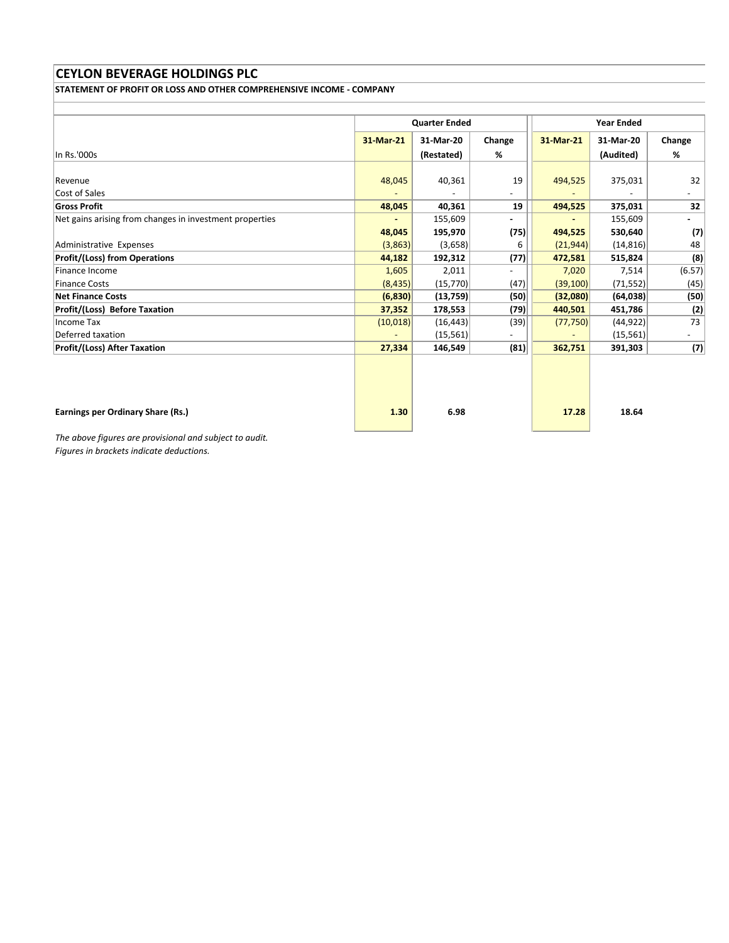STATEMENT OF PROFIT OR LOSS AND OTHER COMPREHENSIVE INCOME - COMPANY

|                                                         | <b>Quarter Ended</b> |            | <b>Year Ended</b>        |           |           |        |
|---------------------------------------------------------|----------------------|------------|--------------------------|-----------|-----------|--------|
|                                                         | 31-Mar-21            | 31-Mar-20  | Change                   | 31-Mar-21 | 31-Mar-20 | Change |
| In Rs.'000s                                             |                      | (Restated) | %                        |           | (Audited) | $\%$   |
|                                                         |                      |            |                          |           |           |        |
| Revenue                                                 | 48,045               | 40,361     | 19                       | 494,525   | 375,031   | 32     |
| Cost of Sales                                           |                      |            | $\overline{\phantom{a}}$ |           |           |        |
| <b>Gross Profit</b>                                     | 48,045               | 40,361     | 19                       | 494,525   | 375,031   | 32     |
| Net gains arising from changes in investment properties |                      | 155,609    | ۰.                       |           | 155,609   |        |
|                                                         | 48,045               | 195,970    | (75)                     | 494,525   | 530,640   | (7)    |
| Administrative Expenses                                 | (3,863)              | (3,658)    | 6                        | (21,944)  | (14, 816) | 48     |
| <b>Profit/(Loss) from Operations</b>                    | 44,182               | 192,312    | (77)                     | 472,581   | 515,824   | (8)    |
| Finance Income                                          | 1,605                | 2,011      |                          | 7,020     | 7,514     | (6.57) |
| Finance Costs                                           | (8, 435)             | (15, 770)  | (47)                     | (39, 100) | (71, 552) | (45)   |
| <b>Net Finance Costs</b>                                | (6, 830)             | (13,759)   | (50)                     | (32,080)  | (64, 038) | (50)   |
| <b>Profit/(Loss) Before Taxation</b>                    | 37,352               | 178,553    | (79)                     | 440,501   | 451,786   | (2)    |
| Income Tax                                              | (10,018)             | (16, 443)  | (39)                     | (77, 750) | (44, 922) | 73     |
| Deferred taxation                                       |                      | (15, 561)  |                          |           | (15, 561) |        |
| <b>Profit/(Loss) After Taxation</b>                     | 27,334               | 146,549    | (81)                     | 362,751   | 391,303   | (7)    |
|                                                         |                      |            |                          |           |           |        |
| Earnings per Ordinary Share (Rs.)                       | 1.30                 | 6.98       |                          | 17.28     | 18.64     |        |

The above figures are provisional and subject to audit. Figures in brackets indicate deductions.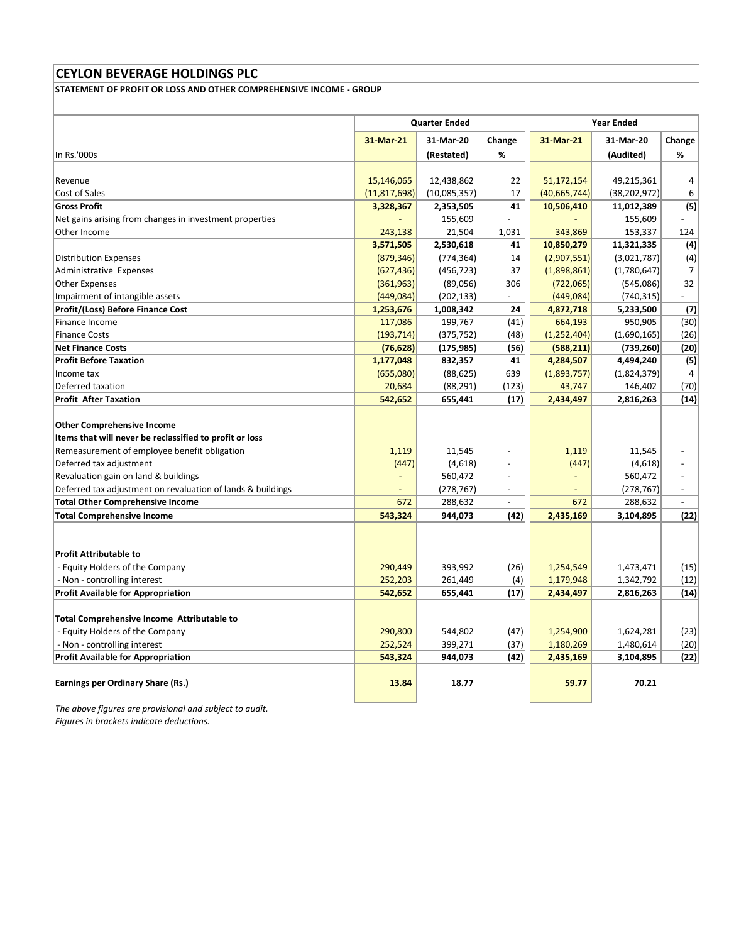STATEMENT OF PROFIT OR LOSS AND OTHER COMPREHENSIVE INCOME - GROUP

|                                                             | <b>Quarter Ended</b> |              |                          |                              | <b>Year Ended</b> |                          |  |
|-------------------------------------------------------------|----------------------|--------------|--------------------------|------------------------------|-------------------|--------------------------|--|
|                                                             | 31-Mar-21            | 31-Mar-20    | Change                   | 31-Mar-21                    | 31-Mar-20         | Change                   |  |
| In Rs.'000s                                                 |                      | (Restated)   | %                        |                              | (Audited)         | %                        |  |
|                                                             |                      |              |                          |                              |                   |                          |  |
| Revenue                                                     | 15,146,065           | 12,438,862   | 22                       | 51,172,154                   | 49,215,361        | 4                        |  |
| Cost of Sales                                               | (11, 817, 698)       | (10,085,357) | 17                       | (40, 665, 744)               | (38, 202, 972)    | 6                        |  |
| <b>Gross Profit</b>                                         | 3,328,367            | 2,353,505    | 41                       | 10,506,410                   | 11,012,389        | (5)                      |  |
| Net gains arising from changes in investment properties     |                      | 155,609      |                          |                              | 155,609           |                          |  |
| Other Income                                                | 243,138              | 21,504       | 1,031                    | 343,869                      | 153,337           | 124                      |  |
|                                                             | 3,571,505            | 2,530,618    | 41                       | 10,850,279                   | 11,321,335        | (4)                      |  |
| <b>Distribution Expenses</b>                                | (879, 346)           | (774, 364)   | 14                       | (2,907,551)                  | (3,021,787)       | (4)                      |  |
| Administrative Expenses                                     | (627, 436)           | (456, 723)   | 37                       | (1,898,861)                  | (1,780,647)       | $\overline{7}$           |  |
| <b>Other Expenses</b>                                       | (361, 963)           | (89,056)     | 306                      | (722,065)                    | (545,086)         | 32                       |  |
| Impairment of intangible assets                             | (449,084)            | (202, 133)   | $\sim$                   | (449,084)                    | (740, 315)        | $\sim$                   |  |
| <b>Profit/(Loss) Before Finance Cost</b>                    | 1,253,676            | 1,008,342    | 24                       | 4,872,718                    | 5,233,500         | (7)                      |  |
| Finance Income                                              | 117,086              | 199,767      | (41)                     | 664,193                      | 950,905           | (30)                     |  |
| <b>Finance Costs</b>                                        | (193, 714)           | (375, 752)   | (48)                     | (1, 252, 404)                | (1,690,165)       | (26)                     |  |
| <b>Net Finance Costs</b>                                    | (76, 628)            | (175, 985)   | (56)                     | (588, 211)                   | (739, 260)        | (20)                     |  |
| <b>Profit Before Taxation</b>                               | 1,177,048            | 832,357      | 41                       | 4,284,507                    | 4,494,240         | (5)                      |  |
| Income tax                                                  | (655,080)            | (88, 625)    | 639                      | (1,893,757)                  | (1,824,379)       | 4                        |  |
| Deferred taxation                                           | 20,684               | (88, 291)    | (123)                    | 43,747                       | 146,402           | (70)                     |  |
| <b>Profit After Taxation</b>                                | 542,652              | 655,441      | (17)                     | 2,434,497                    | 2,816,263         | (14)                     |  |
| <b>Other Comprehensive Income</b>                           |                      |              |                          |                              |                   |                          |  |
| Items that will never be reclassified to profit or loss     |                      |              |                          |                              |                   |                          |  |
| Remeasurement of employee benefit obligation                | 1,119                | 11,545       |                          | 1,119                        | 11,545            |                          |  |
| Deferred tax adjustment                                     | (447)                | (4,618)      |                          | (447)                        | (4,618)           |                          |  |
| Revaluation gain on land & buildings                        |                      | 560,472      |                          | $\qquad \qquad \blacksquare$ | 560,472           | $\overline{\phantom{a}}$ |  |
| Deferred tax adjustment on revaluation of lands & buildings |                      | (278, 767)   | $\overline{\phantom{a}}$ |                              | (278, 767)        | $\overline{\phantom{a}}$ |  |
| <b>Total Other Comprehensive Income</b>                     | 672                  | 288,632      | $\overline{\phantom{a}}$ | 672                          | 288,632           | $\overline{\phantom{a}}$ |  |
| <b>Total Comprehensive Income</b>                           | 543,324              | 944,073      | (42)                     | 2,435,169                    | 3,104,895         | (22)                     |  |
|                                                             |                      |              |                          |                              |                   |                          |  |
|                                                             |                      |              |                          |                              |                   |                          |  |
| <b>Profit Attributable to</b>                               |                      |              |                          |                              |                   |                          |  |
| - Equity Holders of the Company                             | 290,449              | 393,992      | (26)                     | 1,254,549                    | 1,473,471         | (15)                     |  |
| - Non - controlling interest                                | 252,203              | 261,449      | (4)                      | 1,179,948                    | 1,342,792         | (12)                     |  |
| <b>Profit Available for Appropriation</b>                   | 542,652              | 655,441      | (17)                     | 2,434,497                    | 2,816,263         | (14)                     |  |
|                                                             |                      |              |                          |                              |                   |                          |  |
| <b>Total Comprehensive Income Attributable to</b>           |                      |              |                          |                              |                   |                          |  |
| - Equity Holders of the Company                             | 290,800              | 544,802      | (47)                     | 1,254,900                    | 1,624,281         | (23)                     |  |
| - Non - controlling interest                                | 252,524              | 399,271      | (37)                     | 1,180,269                    | 1,480,614         | (20)                     |  |
| <b>Profit Available for Appropriation</b>                   | 543,324              | 944,073      | (42)                     | 2,435,169                    | 3,104,895         | (22)                     |  |
| <b>Earnings per Ordinary Share (Rs.)</b>                    | 13.84                | 18.77        |                          | 59.77                        | 70.21             |                          |  |

The above figures are provisional and subject to audit.

Figures in brackets indicate deductions.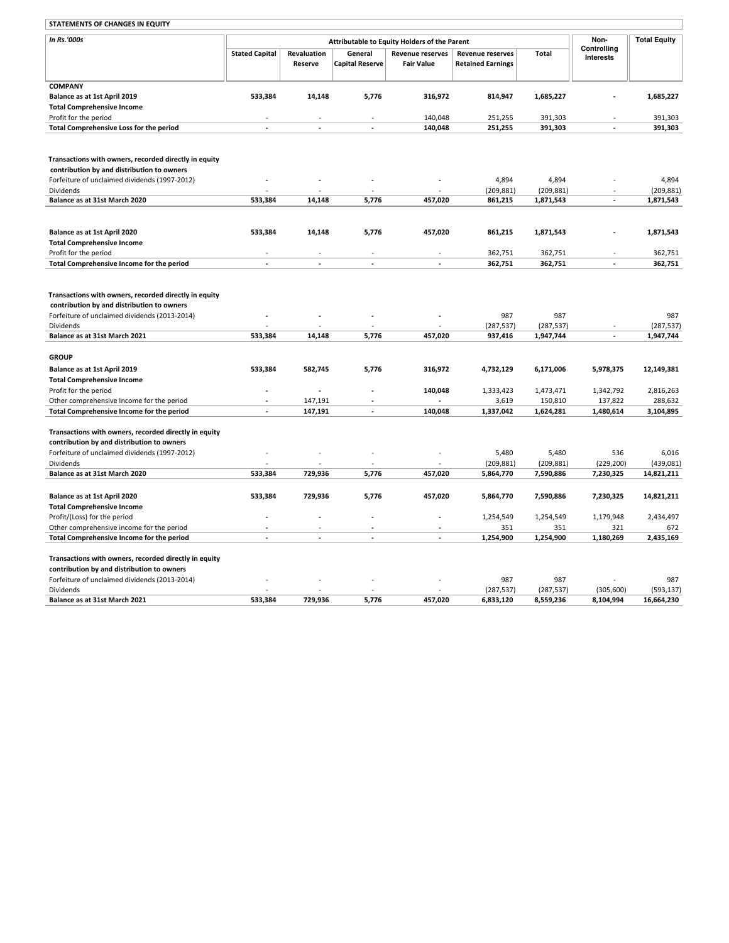#### STATEMENTS OF CHANGES IN EQUITY

| <b>STATEMENTS OF CHANGES IN EQUITY</b>                                                              |                                              |                        |                                   |                                              |                                                     |                         |                                 |                         |
|-----------------------------------------------------------------------------------------------------|----------------------------------------------|------------------------|-----------------------------------|----------------------------------------------|-----------------------------------------------------|-------------------------|---------------------------------|-------------------------|
| In Rs.'000s                                                                                         | Attributable to Equity Holders of the Parent |                        |                                   |                                              |                                                     |                         | Non-                            | <b>Total Equity</b>     |
|                                                                                                     | <b>Stated Capital</b>                        | Revaluation<br>Reserve | General<br><b>Capital Reserve</b> | <b>Revenue reserves</b><br><b>Fair Value</b> | <b>Revenue reserves</b><br><b>Retained Earnings</b> | Total                   | Controlling<br><b>Interests</b> |                         |
| <b>COMPANY</b>                                                                                      |                                              |                        |                                   |                                              |                                                     |                         |                                 |                         |
| Balance as at 1st April 2019                                                                        | 533,384                                      | 14,148                 | 5,776                             | 316,972                                      | 814,947                                             | 1,685,227               |                                 | 1,685,227               |
| <b>Total Comprehensive Income</b>                                                                   |                                              |                        |                                   |                                              |                                                     |                         |                                 |                         |
| Profit for the period                                                                               |                                              |                        |                                   | 140,048                                      | 251,255                                             | 391,303                 |                                 | 391,303                 |
| Total Comprehensive Loss for the period                                                             | ÷.                                           | ÷                      | ÷.                                | 140,048                                      | 251,255                                             | 391,303                 | ÷.                              | 391,303                 |
|                                                                                                     |                                              |                        |                                   |                                              |                                                     |                         |                                 |                         |
| Transactions with owners, recorded directly in equity                                               |                                              |                        |                                   |                                              |                                                     |                         |                                 |                         |
| contribution by and distribution to owners                                                          |                                              |                        |                                   |                                              |                                                     |                         |                                 |                         |
| Forfeiture of unclaimed dividends (1997-2012)                                                       |                                              |                        |                                   |                                              | 4,894                                               | 4,894                   |                                 | 4,894                   |
| Dividends                                                                                           |                                              |                        |                                   |                                              | (209, 881)                                          | (209, 881)              |                                 | (209, 881)              |
| Balance as at 31st March 2020                                                                       | 533,384                                      | 14,148                 | 5,776                             | 457,020                                      | 861,215                                             | 1,871,543               | $\sim$                          | 1,871,543               |
|                                                                                                     |                                              |                        |                                   |                                              |                                                     |                         |                                 |                         |
| Balance as at 1st April 2020                                                                        | 533,384                                      | 14,148                 | 5,776                             | 457,020                                      | 861,215                                             | 1,871,543               |                                 | 1,871,543               |
| <b>Total Comprehensive Income</b>                                                                   |                                              |                        |                                   |                                              |                                                     |                         |                                 |                         |
| Profit for the period                                                                               |                                              |                        |                                   |                                              | 362,751                                             | 362,751                 |                                 | 362,751                 |
| Total Comprehensive Income for the period                                                           | L.                                           | ä,                     | ÷.                                | ÷.                                           | 362,751                                             | 362,751                 | ÷.                              | 362,751                 |
| Transactions with owners, recorded directly in equity                                               |                                              |                        |                                   |                                              |                                                     |                         |                                 |                         |
| contribution by and distribution to owners                                                          |                                              |                        |                                   |                                              |                                                     |                         |                                 |                         |
| Forfeiture of unclaimed dividends (2013-2014)                                                       |                                              |                        |                                   |                                              | 987                                                 | 987                     |                                 | 987                     |
| Dividends<br>Balance as at 31st March 2021                                                          | 533,384                                      | 14,148                 | 5,776                             | 457,020                                      | (287, 537)<br>937,416                               | (287, 537)<br>1,947,744 | $\sim$                          | (287, 537)<br>1,947,744 |
|                                                                                                     |                                              |                        |                                   |                                              |                                                     |                         |                                 |                         |
| <b>GROUP</b>                                                                                        |                                              |                        |                                   |                                              |                                                     |                         |                                 |                         |
| Balance as at 1st April 2019                                                                        | 533,384                                      | 582,745                | 5,776                             | 316,972                                      | 4,732,129                                           | 6,171,006               | 5,978,375                       | 12,149,381              |
| <b>Total Comprehensive Income</b>                                                                   |                                              |                        |                                   |                                              |                                                     |                         |                                 |                         |
| Profit for the period                                                                               |                                              | ÷.                     |                                   | 140,048                                      | 1,333,423                                           | 1,473,471               | 1,342,792                       | 2,816,263               |
| Other comprehensive Income for the period                                                           |                                              | 147,191                |                                   |                                              | 3,619                                               | 150,810                 | 137,822                         | 288,632                 |
| Total Comprehensive Income for the period                                                           |                                              | 147,191                | ä,                                | 140,048                                      | 1,337,042                                           | 1,624,281               | 1,480,614                       | 3,104,895               |
| Transactions with owners, recorded directly in equity                                               |                                              |                        |                                   |                                              |                                                     |                         |                                 |                         |
| contribution by and distribution to owners                                                          |                                              |                        |                                   |                                              |                                                     |                         |                                 |                         |
| Forfeiture of unclaimed dividends (1997-2012)                                                       |                                              |                        |                                   |                                              | 5,480                                               | 5,480                   | 536                             | 6,016                   |
| Dividends                                                                                           |                                              |                        |                                   |                                              | (209, 881)                                          | (209, 881)              | (229, 200)                      | (439, 081)              |
| Balance as at 31st March 2020                                                                       | 533,384                                      | 729,936                | 5,776                             | 457,020                                      | 5,864,770                                           | 7,590,886               | 7,230,325                       | 14,821,211              |
|                                                                                                     |                                              |                        |                                   |                                              |                                                     |                         |                                 |                         |
| Balance as at 1st April 2020                                                                        | 533,384                                      | 729,936                | 5,776                             | 457,020                                      | 5,864,770                                           | 7,590,886               | 7,230,325                       | 14,821,211              |
| <b>Total Comprehensive Income</b>                                                                   |                                              |                        |                                   |                                              |                                                     |                         |                                 |                         |
| Profit/(Loss) for the period                                                                        |                                              |                        |                                   |                                              | 1,254,549                                           | 1,254,549               | 1,179,948                       | 2,434,497               |
| Other comprehensive income for the period                                                           |                                              | ÷                      | ÷                                 | ÷.                                           | 351                                                 | 351                     | 321                             | 672                     |
| Total Comprehensive Income for the period                                                           |                                              |                        |                                   |                                              | 1,254,900                                           | 1,254,900               | 1,180,269                       | 2,435,169               |
| Transactions with owners, recorded directly in equity<br>contribution by and distribution to owners |                                              |                        |                                   |                                              |                                                     |                         |                                 |                         |
| Forfeiture of unclaimed dividends (2013-2014)                                                       |                                              |                        |                                   |                                              | 987                                                 | 987                     |                                 | 987                     |
| Dividends                                                                                           |                                              |                        |                                   |                                              | (287, 537)                                          | (287, 537)              | (305, 600)                      | (593, 137)              |
| Balance as at 31st March 2021                                                                       | 533,384                                      | 729,936                | 5,776                             | 457,020                                      | 6,833,120                                           | 8,559,236               | 8,104,994                       | 16,664,230              |
|                                                                                                     |                                              |                        |                                   |                                              |                                                     |                         |                                 |                         |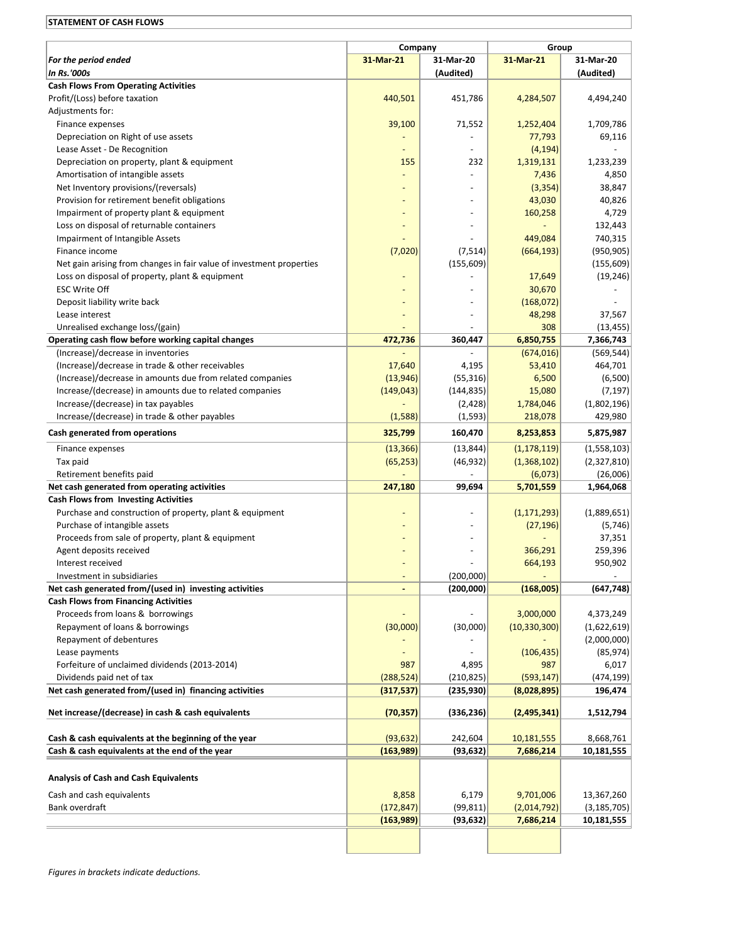# STATEMENT OF CASH FLOWS

|                                                                      |                                   |            | Group          |               |  |  |
|----------------------------------------------------------------------|-----------------------------------|------------|----------------|---------------|--|--|
| For the period ended                                                 | Company<br>31-Mar-21<br>31-Mar-20 |            | 31-Mar-21      | 31-Mar-20     |  |  |
| <b>In Rs.'000s</b>                                                   |                                   | (Audited)  |                | (Audited)     |  |  |
| <b>Cash Flows From Operating Activities</b>                          |                                   |            |                |               |  |  |
| Profit/(Loss) before taxation                                        | 440,501                           | 451,786    | 4,284,507      | 4,494,240     |  |  |
| Adjustments for:                                                     |                                   |            |                |               |  |  |
| Finance expenses                                                     | 39,100                            | 71,552     | 1,252,404      | 1,709,786     |  |  |
| Depreciation on Right of use assets                                  |                                   |            | 77,793         | 69,116        |  |  |
| Lease Asset - De Recognition                                         |                                   |            | (4, 194)       |               |  |  |
| Depreciation on property, plant & equipment                          | 155                               | 232        | 1,319,131      | 1,233,239     |  |  |
| Amortisation of intangible assets                                    |                                   |            | 7,436          | 4,850         |  |  |
| Net Inventory provisions/(reversals)                                 |                                   |            | (3, 354)       | 38,847        |  |  |
| Provision for retirement benefit obligations                         |                                   |            | 43,030         | 40,826        |  |  |
| Impairment of property plant & equipment                             |                                   |            | 160,258        | 4,729         |  |  |
| Loss on disposal of returnable containers                            |                                   |            |                | 132,443       |  |  |
| Impairment of Intangible Assets                                      |                                   |            | 449,084        | 740,315       |  |  |
| Finance income                                                       | (7,020)                           | (7, 514)   | (664, 193)     | (950, 905)    |  |  |
| Net gain arising from changes in fair value of investment properties |                                   | (155, 609) |                | (155, 609)    |  |  |
| Loss on disposal of property, plant & equipment                      |                                   |            | 17,649         | (19, 246)     |  |  |
| <b>ESC Write Off</b>                                                 |                                   |            | 30,670         |               |  |  |
| Deposit liability write back                                         |                                   |            | (168,072)      |               |  |  |
| Lease interest                                                       |                                   |            | 48,298         | 37,567        |  |  |
| Unrealised exchange loss/(gain)                                      |                                   |            | 308            | (13, 455)     |  |  |
| Operating cash flow before working capital changes                   | 472,736                           | 360,447    | 6,850,755      | 7,366,743     |  |  |
| (Increase)/decrease in inventories                                   |                                   |            | (674, 016)     | (569, 544)    |  |  |
| (Increase)/decrease in trade & other receivables                     | 17,640                            | 4,195      | 53,410         | 464,701       |  |  |
| (Increase)/decrease in amounts due from related companies            | (13, 946)                         | (55, 316)  | 6,500          | (6,500)       |  |  |
| Increase/(decrease) in amounts due to related companies              | (149, 043)                        | (144, 835) | 15,080         | (7, 197)      |  |  |
| Increase/(decrease) in tax payables                                  |                                   | (2,428)    | 1,784,046      | (1,802,196)   |  |  |
| Increase/(decrease) in trade & other payables                        | (1,588)                           | (1, 593)   | 218,078        | 429,980       |  |  |
|                                                                      |                                   |            |                |               |  |  |
| Cash generated from operations                                       | 325,799                           | 160,470    | 8,253,853      | 5,875,987     |  |  |
| Finance expenses                                                     | (13, 366)                         | (13, 844)  | (1, 178, 119)  | (1,558,103)   |  |  |
| Tax paid                                                             | (65, 253)                         | (46, 932)  | (1,368,102)    | (2,327,810)   |  |  |
| Retirement benefits paid                                             |                                   |            | (6,073)        | (26,006)      |  |  |
| Net cash generated from operating activities                         | 247,180                           | 99,694     | 5,701,559      | 1,964,068     |  |  |
| <b>Cash Flows from Investing Activities</b>                          |                                   |            |                |               |  |  |
| Purchase and construction of property, plant & equipment             |                                   |            | (1, 171, 293)  | (1,889,651)   |  |  |
| Purchase of intangible assets                                        |                                   |            | (27, 196)      | (5,746)       |  |  |
| Proceeds from sale of property, plant & equipment                    |                                   |            |                | 37,351        |  |  |
| Agent deposits received                                              |                                   |            | 366,291        | 259,396       |  |  |
| Interest received                                                    |                                   |            | 664,193        | 950,902       |  |  |
| Investment in subsidiaries                                           |                                   | (200,000)  |                |               |  |  |
| Net cash generated from/(used in) investing activities               |                                   | (200,000)  | (168,005)      | (647, 748)    |  |  |
| <b>Cash Flows from Financing Activities</b>                          |                                   |            |                |               |  |  |
| Proceeds from loans & borrowings                                     |                                   |            | 3,000,000      | 4,373,249     |  |  |
| Repayment of loans & borrowings                                      | (30,000)                          | (30,000)   | (10, 330, 300) | (1,622,619)   |  |  |
| Repayment of debentures                                              |                                   |            |                | (2,000,000)   |  |  |
| Lease payments                                                       |                                   |            | (106, 435)     | (85, 974)     |  |  |
| Forfeiture of unclaimed dividends (2013-2014)                        | 987                               | 4,895      | 987            | 6,017         |  |  |
| Dividends paid net of tax                                            | (288, 524)                        | (210, 825) | (593, 147)     | (474,199)     |  |  |
| Net cash generated from/(used in) financing activities               | (317, 537)                        | (235, 930) | (8,028,895)    | 196,474       |  |  |
| Net increase/(decrease) in cash & cash equivalents                   | (70, 357)                         | (336, 236) | (2,495,341)    | 1,512,794     |  |  |
|                                                                      |                                   |            |                |               |  |  |
| Cash & cash equivalents at the beginning of the year                 | (93, 632)                         | 242,604    | 10,181,555     | 8,668,761     |  |  |
| Cash & cash equivalents at the end of the year                       | (163,989)                         | (93, 632)  | 7,686,214      | 10,181,555    |  |  |
| <b>Analysis of Cash and Cash Equivalents</b>                         |                                   |            |                |               |  |  |
| Cash and cash equivalents                                            | 8,858                             | 6,179      | 9,701,006      | 13,367,260    |  |  |
| Bank overdraft                                                       | (172, 847)                        | (99, 811)  | (2,014,792)    | (3, 185, 705) |  |  |
|                                                                      | (163,989)                         | (93, 632)  | 7,686,214      | 10,181,555    |  |  |
|                                                                      |                                   |            |                |               |  |  |
|                                                                      |                                   |            |                |               |  |  |
|                                                                      |                                   |            |                |               |  |  |

Figures in brackets indicate deductions.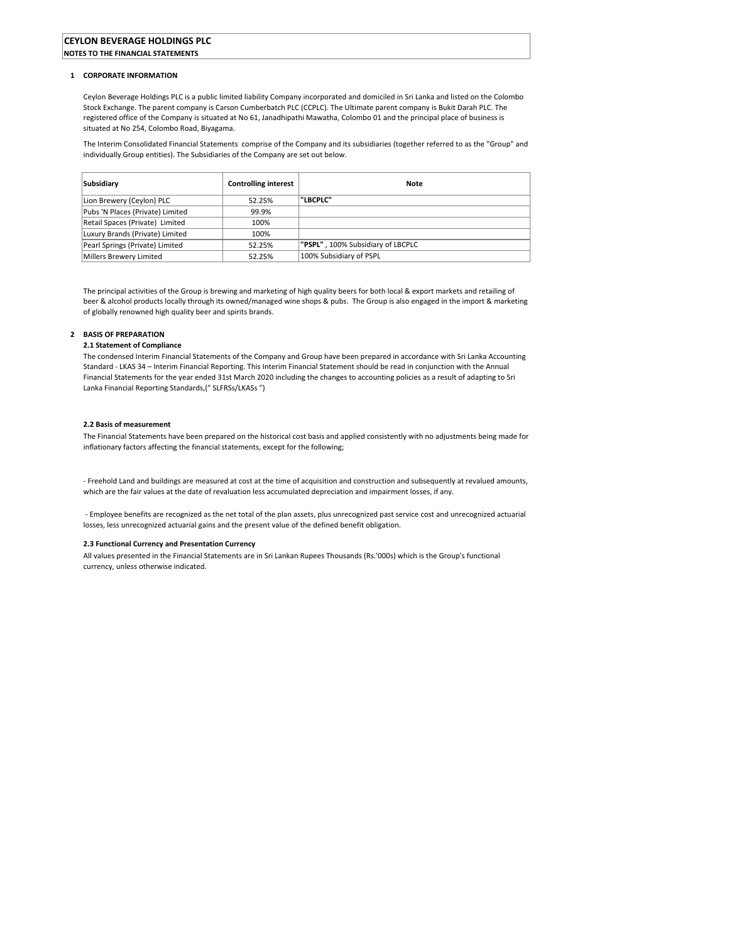#### 1 CORPORATE INFORMATION

Ceylon Beverage Holdings PLC is a public limited liability Company incorporated and domiciled in Sri Lanka and listed on the Colombo Stock Exchange. The parent company is Carson Cumberbatch PLC (CCPLC). The Ultimate parent company is Bukit Darah PLC. The registered office of the Company is situated at No 61, Janadhipathi Mawatha, Colombo 01 and the principal place of business is situated at No 254, Colombo Road, Biyagama.

The Interim Consolidated Financial Statements comprise of the Company and its subsidiaries (together referred to as the "Group" and individually Group entities). The Subsidiaries of the Company are set out below.

| Subsidiary                       | <b>Controlling interest</b> | <b>Note</b>                              |
|----------------------------------|-----------------------------|------------------------------------------|
| Lion Brewery (Ceylon) PLC        | 52.25%                      | "LBCPLC"                                 |
| Pubs 'N Places (Private) Limited | 99.9%                       |                                          |
| Retail Spaces (Private) Limited  | 100%                        |                                          |
| Luxury Brands (Private) Limited  | 100%                        |                                          |
| Pearl Springs (Private) Limited  | 52.25%                      | <b>"PSPL", 100% Subsidiary of LBCPLC</b> |
| Millers Brewery Limited          | 52.25%                      | 100% Subsidiary of PSPL                  |

The principal activities of the Group is brewing and marketing of high quality beers for both local & export markets and retailing of beer & alcohol products locally through its owned/managed wine shops & pubs. The Group is also engaged in the import & marketing of globally renowned high quality beer and spirits brands.

## 2 BASIS OF PREPARATION

### 2.1 Statement of Compliance

The condensed Interim Financial Statements of the Company and Group have been prepared in accordance with Sri Lanka Accounting Standard - LKAS 34 – Interim Financial Reporting. This Interim Financial Statement should be read in conjunction with the Annual Financial Statements for the year ended 31st March 2020 including the changes to accounting policies as a result of adapting to Sri Lanka Financial Reporting Standards,(" SLFRSs/LKASs ")

# 2.2 Basis of measurement

The Financial Statements have been prepared on the historical cost basis and applied consistently with no adjustments being made for inflationary factors affecting the financial statements, except for the following;

- Freehold Land and buildings are measured at cost at the time of acquisition and construction and subsequently at revalued amounts, which are the fair values at the date of revaluation less accumulated depreciation and impairment losses, if any.

 - Employee benefits are recognized as the net total of the plan assets, plus unrecognized past service cost and unrecognized actuarial losses, less unrecognized actuarial gains and the present value of the defined benefit obligation.

#### 2.3 Functional Currency and Presentation Currency

All values presented in the Financial Statements are in Sri Lankan Rupees Thousands (Rs.'000s) which is the Group's functional currency, unless otherwise indicated.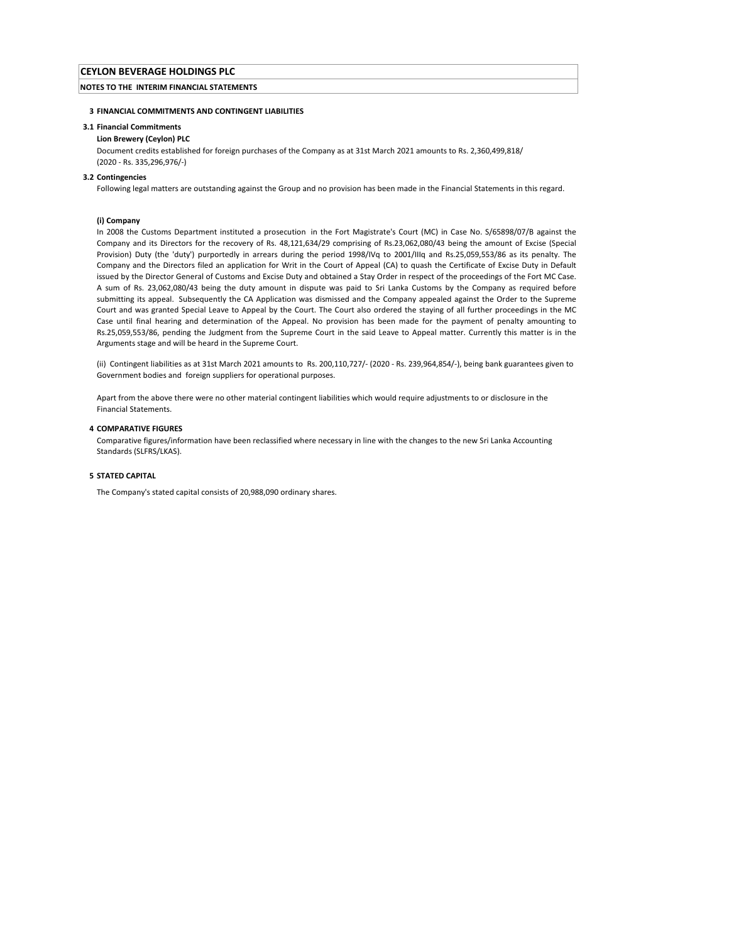# NOTES TO THE INTERIM FINANCIAL STATEMENTS

# 3 FINANCIAL COMMITMENTS AND CONTINGENT LIABILITIES

## 3.1 Financial Commitments

# Lion Brewery (Ceylon) PLC

Document credits established for foreign purchases of the Company as at 31st March 2021 amounts to Rs. 2,360,499,818/ (2020 - Rs. 335,296,976/-)

### 3.2 Contingencies

Following legal matters are outstanding against the Group and no provision has been made in the Financial Statements in this regard.

#### (i) Company

In 2008 the Customs Department instituted a prosecution in the Fort Magistrate's Court (MC) in Case No. S/65898/07/B against the Company and its Directors for the recovery of Rs. 48,121,634/29 comprising of Rs.23,062,080/43 being the amount of Excise (Special Provision) Duty (the 'duty') purportedly in arrears during the period 1998/IVq to 2001/IIIq and Rs.25,059,553/86 as its penalty. The Company and the Directors filed an application for Writ in the Court of Appeal (CA) to quash the Certificate of Excise Duty in Default issued by the Director General of Customs and Excise Duty and obtained a Stay Order in respect of the proceedings of the Fort MC Case. A sum of Rs. 23,062,080/43 being the duty amount in dispute was paid to Sri Lanka Customs by the Company as required before submitting its appeal. Subsequently the CA Application was dismissed and the Company appealed against the Order to the Supreme Court and was granted Special Leave to Appeal by the Court. The Court also ordered the staying of all further proceedings in the MC Case until final hearing and determination of the Appeal. No provision has been made for the payment of penalty amounting to Rs.25,059,553/86, pending the Judgment from the Supreme Court in the said Leave to Appeal matter. Currently this matter is in the Arguments stage and will be heard in the Supreme Court.

(ii) Contingent liabilities as at 31st March 2021 amounts to Rs. 200,110,727/- (2020 - Rs. 239,964,854/-), being bank guarantees given to Government bodies and foreign suppliers for operational purposes.

Apart from the above there were no other material contingent liabilities which would require adjustments to or disclosure in the Financial Statements.

## 4 COMPARATIVE FIGURES

Comparative figures/information have been reclassified where necessary in line with the changes to the new Sri Lanka Accounting Standards (SLFRS/LKAS).

# 5 STATED CAPITAL

The Company's stated capital consists of 20,988,090 ordinary shares.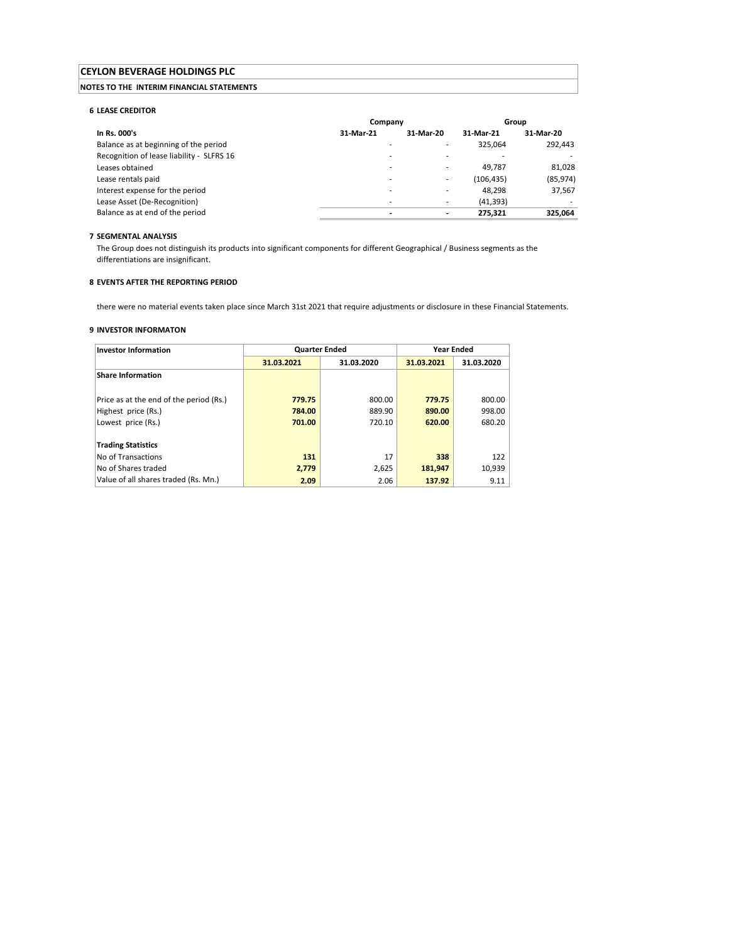# NOTES TO THE INTERIM FINANCIAL STATEMENTS

### 6 LEASE CREDITOR

|                                           | Company   |                          | Group      |           |
|-------------------------------------------|-----------|--------------------------|------------|-----------|
| In Rs. 000's                              | 31-Mar-21 | 31-Mar-20                | 31-Mar-21  | 31-Mar-20 |
| Balance as at beginning of the period     |           | ۰                        | 325.064    | 292.443   |
| Recognition of lease liability - SLFRS 16 |           |                          |            |           |
| Leases obtained                           |           | ۰                        | 49.787     | 81.028    |
| Lease rentals paid                        |           | ٠                        | (106, 435) | (85, 974) |
| Interest expense for the period           |           |                          | 48.298     | 37.567    |
| Lease Asset (De-Recognition)              |           | ٠                        | (41, 393)  |           |
| Balance as at end of the period           |           | $\overline{\phantom{0}}$ | 275.321    | 325.064   |

# 7 SEGMENTAL ANALYSIS

The Group does not distinguish its products into significant components for different Geographical / Business segments as the differentiations are insignificant.

# 8 EVENTS AFTER THE REPORTING PERIOD

there were no material events taken place since March 31st 2021 that require adjustments or disclosure in these Financial Statements.

### 9 INVESTOR INFORMATON

| <b>Investor Information</b>             | <b>Quarter Ended</b> |            |            | <b>Year Ended</b> |  |
|-----------------------------------------|----------------------|------------|------------|-------------------|--|
|                                         | 31.03.2021           | 31.03.2020 | 31.03.2021 | 31.03.2020        |  |
| <b>Share Information</b>                |                      |            |            |                   |  |
|                                         |                      |            |            |                   |  |
| Price as at the end of the period (Rs.) | 779.75               | 800.00     | 779.75     | 800.00            |  |
| Highest price (Rs.)                     | 784.00               | 889.90     | 890.00     | 998.00            |  |
| Lowest price (Rs.)                      | 701.00               | 720.10     | 620.00     | 680.20            |  |
|                                         |                      |            |            |                   |  |
| <b>Trading Statistics</b>               |                      |            |            |                   |  |
| No of Transactions                      | 131                  | 17         | 338        | 122               |  |
| No of Shares traded                     | 2,779                | 2,625      | 181,947    | 10,939            |  |
| Value of all shares traded (Rs. Mn.)    | 2.09                 | 2.06       | 137.92     | 9.11              |  |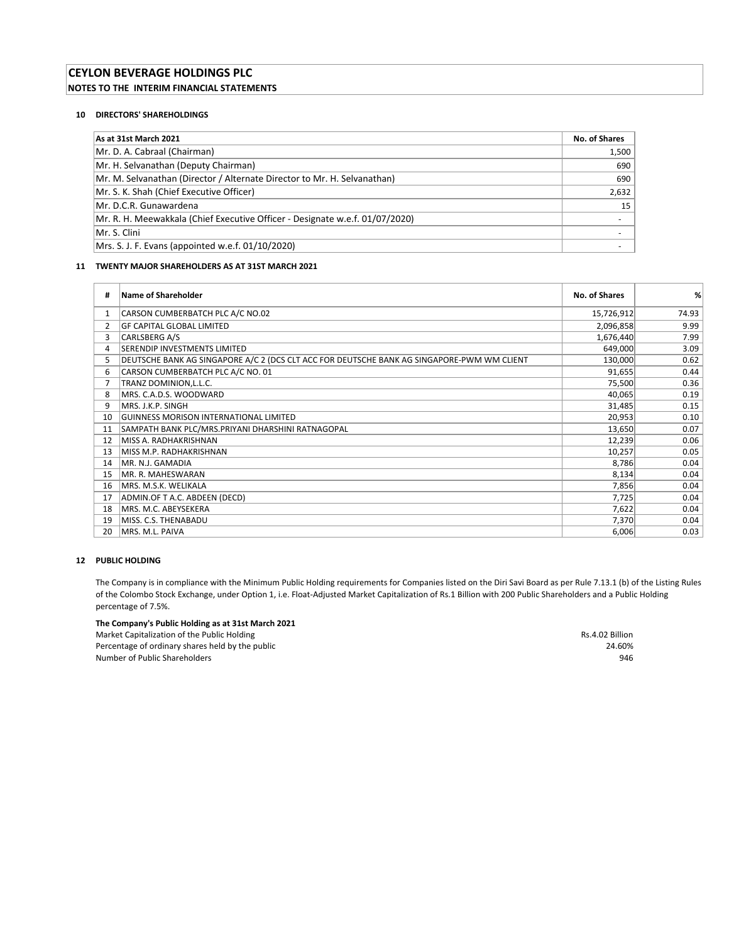# CEYLON BEVERAGE HOLDINGS PLC NOTES TO THE INTERIM FINANCIAL STATEMENTS

# 10 DIRECTORS' SHAREHOLDINGS

| As at 31st March 2021                                                        | No. of Shares |
|------------------------------------------------------------------------------|---------------|
| Mr. D. A. Cabraal (Chairman)                                                 | 1,500         |
| Mr. H. Selvanathan (Deputy Chairman)                                         | 690           |
| Mr. M. Selvanathan (Director / Alternate Director to Mr. H. Selvanathan)     | 690           |
| Mr. S. K. Shah (Chief Executive Officer)                                     | 2,632         |
| Mr. D.C.R. Gunawardena                                                       | 15            |
| Mr. R. H. Meewakkala (Chief Executive Officer - Designate w.e.f. 01/07/2020) |               |
| Mr. S. Clini                                                                 |               |
| Mrs. S. J. F. Evans (appointed w.e.f. 01/10/2020)                            |               |

# 11 TWENTY MAJOR SHAREHOLDERS AS AT 31ST MARCH 2021

| #  | <b>Name of Shareholder</b>                                                                 | No. of Shares | %     |
|----|--------------------------------------------------------------------------------------------|---------------|-------|
| 1  | CARSON CUMBERBATCH PLC A/C NO.02                                                           | 15,726,912    | 74.93 |
| 2  | <b>GF CAPITAL GLOBAL LIMITED</b>                                                           | 2,096,858     | 9.99  |
| 3  | CARLSBERG A/S                                                                              | 1,676,440     | 7.99  |
| 4  | SERENDIP INVESTMENTS LIMITED                                                               | 649,000       | 3.09  |
| 5  | DEUTSCHE BANK AG SINGAPORE A/C 2 (DCS CLT ACC FOR DEUTSCHE BANK AG SINGAPORE-PWM WM CLIENT | 130,000       | 0.62  |
| 6  | CARSON CUMBERBATCH PLC A/C NO. 01                                                          | 91,655        | 0.44  |
|    | TRANZ DOMINION, L.L.C.                                                                     | 75,500        | 0.36  |
| 8  | MRS. C.A.D.S. WOODWARD                                                                     | 40,065        | 0.19  |
| 9  | MRS. J.K.P. SINGH                                                                          | 31,485        | 0.15  |
| 10 | GUINNESS MORISON INTERNATIONAL LIMITED                                                     | 20,953        | 0.10  |
| 11 | SAMPATH BANK PLC/MRS.PRIYANI DHARSHINI RATNAGOPAL                                          | 13,650        | 0.07  |
| 12 | MISS A. RADHAKRISHNAN                                                                      | 12,239        | 0.06  |
| 13 | MISS M.P. RADHAKRISHNAN                                                                    | 10,257        | 0.05  |
| 14 | MR. N.J. GAMADIA                                                                           | 8,786         | 0.04  |
| 15 | MR. R. MAHESWARAN                                                                          | 8,134         | 0.04  |
| 16 | MRS. M.S.K. WELIKALA                                                                       | 7,856         | 0.04  |
| 17 | ADMIN.OF T A.C. ABDEEN (DECD)                                                              | 7,725         | 0.04  |
| 18 | MRS. M.C. ABEYSEKERA                                                                       | 7,622         | 0.04  |
| 19 | MISS. C.S. THENABADU                                                                       | 7,370         | 0.04  |
| 20 | MRS. M.L. PAIVA                                                                            | 6,006         | 0.03  |

# 12 PUBLIC HOLDING

The Company is in compliance with the Minimum Public Holding requirements for Companies listed on the Diri Savi Board as per Rule 7.13.1 (b) of the Listing Rules of the Colombo Stock Exchange, under Option 1, i.e. Float-Adjusted Market Capitalization of Rs.1 Billion with 200 Public Shareholders and a Public Holding percentage of 7.5%.

# The Company's Public Holding as at 31st March 2021

Market Capitalization of the Public Holding Rs.4.02 Billion Percentage of ordinary shares held by the public 24.60% and the public 24.60% of the public 24.60% of the public 34.60% of the public 34.60% of the public 34.60% of the public 34.60% of the public Shareholders 346 Number of Public Shareholders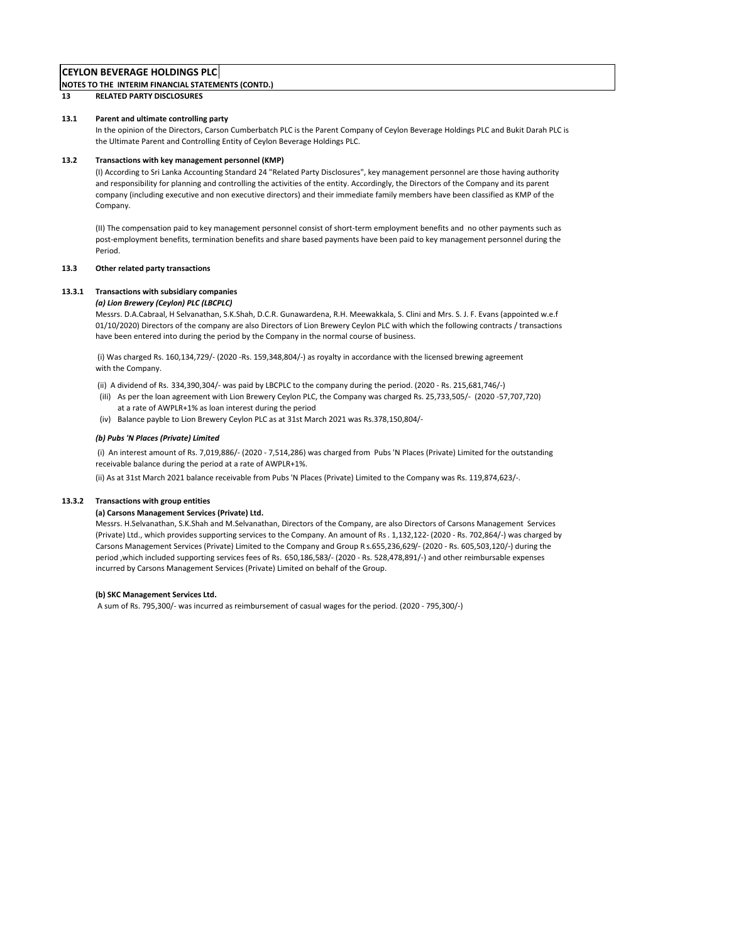# NOTES TO THE INTERIM FINANCIAL STATEMENTS (CONTD.)

# 13 RELATED PARTY DISCLOSURES

### 13.1 Parent and ultimate controlling party

In the opinion of the Directors, Carson Cumberbatch PLC is the Parent Company of Ceylon Beverage Holdings PLC and Bukit Darah PLC is the Ultimate Parent and Controlling Entity of Ceylon Beverage Holdings PLC.

### 13.2 Transactions with key management personnel (KMP)

(I) According to Sri Lanka Accounting Standard 24 "Related Party Disclosures", key management personnel are those having authority and responsibility for planning and controlling the activities of the entity. Accordingly, the Directors of the Company and its parent company (including executive and non executive directors) and their immediate family members have been classified as KMP of the Company.

(II) The compensation paid to key management personnel consist of short-term employment benefits and no other payments such as post-employment benefits, termination benefits and share based payments have been paid to key management personnel during the Period.

## 13.3 Other related party transactions

### 13.3.1 Transactions with subsidiary companies

#### (a) Lion Brewery (Ceylon) PLC (LBCPLC)

Messrs. D.A.Cabraal, H Selvanathan, S.K.Shah, D.C.R. Gunawardena, R.H. Meewakkala, S. Clini and Mrs. S. J. F. Evans (appointed w.e.f 01/10/2020) Directors of the company are also Directors of Lion Brewery Ceylon PLC with which the following contracts / transactions have been entered into during the period by the Company in the normal course of business.

 (i) Was charged Rs. 160,134,729/- (2020 -Rs. 159,348,804/-) as royalty in accordance with the licensed brewing agreement with the Company.

- (ii) A dividend of Rs. 334,390,304/- was paid by LBCPLC to the company during the period. (2020 Rs. 215,681,746/-)
- (iIi) As per the loan agreement with Lion Brewery Ceylon PLC, the Company was charged Rs. 25,733,505/- (2020 -57,707,720) at a rate of AWPLR+1% as loan interest during the period
- (iv) Balance payble to Lion Brewery Ceylon PLC as at 31st March 2021 was Rs.378,150,804/-

#### (b) Pubs 'N Places (Private) Limited

 (i) An interest amount of Rs. 7,019,886/- (2020 - 7,514,286) was charged from Pubs 'N Places (Private) Limited for the outstanding receivable balance during the period at a rate of AWPLR+1%.

(ii) As at 31st March 2021 balance receivable from Pubs 'N Places (Private) Limited to the Company was Rs. 119,874,623/-.

#### 13.3.2 Transactions with group entities

## (a) Carsons Management Services (Private) Ltd.

Messrs. H.Selvanathan, S.K.Shah and M.Selvanathan, Directors of the Company, are also Directors of Carsons Management Services (Private) Ltd., which provides supporting services to the Company. An amount of Rs . 1,132,122- (2020 - Rs. 702,864/-) was charged by Carsons Management Services (Private) Limited to the Company and Group R s.655,236,629/- (2020 - Rs. 605,503,120/-) during the period ,which included supporting services fees of Rs. 650,186,583/- (2020 - Rs. 528,478,891/-) and other reimbursable expenses incurred by Carsons Management Services (Private) Limited on behalf of the Group.

#### (b) SKC Management Services Ltd.

A sum of Rs. 795,300/- was incurred as reimbursement of casual wages for the period. (2020 - 795,300/-)